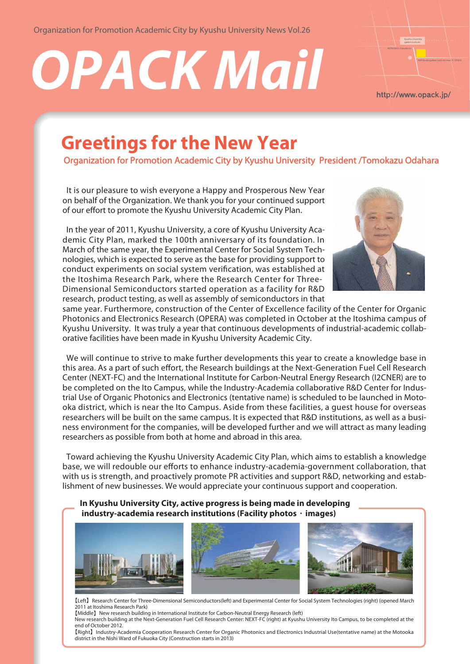Organization for Promotion Academic City by Kyushu University News Vol.26

# **OPACK Mail**



# **Greetings for the New Year**

Organization for Promotion Academic City by Kyushu University President /Tomokazu Odahara

 It is our pleasure to wish everyone a Happy and Prosperous New Year on behalf of the Organization. We thank you for your continued support of our effort to promote the Kyushu University Academic City Plan.

 In the year of 2011, Kyushu University, a core of Kyushu University Academic City Plan, marked the 100th anniversary of its foundation. In March of the same year, the Experimental Center for Social System Technologies, which is expected to serve as the base for providing support to conduct experiments on social system verification, was established at the Itoshima Research Park, where the Research Center for Three-Dimensional Semiconductors started operation as a facility for R&D research, product testing, as well as assembly of semiconductors in that



same year. Furthermore, construction of the Center of Excellence facility of the Center for Organic Photonics and Electronics Research (OPERA) was completed in October at the Itoshima campus of Kyushu University. It was truly a year that continuous developments of industrial-academic collaborative facilities have been made in Kyushu University Academic City.

 We will continue to strive to make further developments this year to create a knowledge base in this area. As a part of such effort, the Research buildings at the Next-Generation Fuel Cell Research Center (NEXT-FC) and the International Institute for Carbon-Neutral Energy Research (I2CNER) are to be completed on the Ito Campus, while the Industry-Academia collaborative R&D Center for Industrial Use of Organic Photonics and Electronics (tentative name) is scheduled to be launched in Motooka district, which is near the Ito Campus. Aside from these facilities, a guest house for overseas researchers will be built on the same campus. It is expected that R&D institutions, as well as a business environment for the companies, will be developed further and we will attract as many leading researchers as possible from both at home and abroad in this area.

 Toward achieving the Kyushu University Academic City Plan, which aims to establish a knowledge base, we will redouble our efforts to enhance industry-academia-government collaboration, that with us is strength, and proactively promote PR activities and support R&D, networking and establishment of new businesses. We would appreciate your continuous support and cooperation.

**In Kyushu University City, active progress is being made in developing industry-academia research institutions (Facility photos**・**images)**



【Left】Research Center for Three-Dimensional Semiconductors(left) and Experimental Center for Social System Technologies (right) (opened March 2011 at Itoshima Research Park)

【Middle】New research building in International Institute for Carbon-Neutral Energy Research (left) New research building at the Next-Generation Fuel Cell Research Center: NEXT-FC (right) at Kyushu University Ito Campus, to be completed at the

district in the Nishi Ward of Fukuoka City (Construction starts in 2013)

end of October 2012. 【Right】Industry-Academia Cooperation Research Center for Organic Photonics and Electronics Industrial Use(tentative name) at the Motooka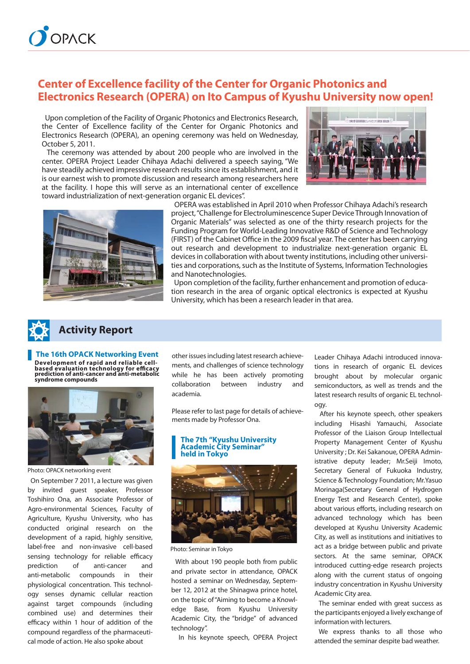

## **Center of Excellence facility of the Center for Organic Photonics and Electronics Research (OPERA) on Ito Campus of Kyushu University now open!**

 Upon completion of the Facility of Organic Photonics and Electronics Research, the Center of Excellence facility of the Center for Organic Photonics and Electronics Research (OPERA), an opening ceremony was held on Wednesday, October 5, 2011.

 The ceremony was attended by about 200 people who are involved in the center. OPERA Project Leader Chihaya Adachi delivered a speech saying, "We have steadily achieved impressive research results since its establishment, and it is our earnest wish to promote discussion and research among researchers here at the facility. I hope this will serve as an international center of excellence toward industrialization of next-generation organic EL devices".





 OPERA was established in April 2010 when Professor Chihaya Adachi's research project, "Challenge for Electroluminescence Super Device Through Innovation of Organic Materials" was selected as one of the thirty research projects for the Funding Program for World-Leading Innovative R&D of Science and Technology (FIRST) of the Cabinet Office in the 2009 fiscal year. The center has been carrying out research and development to industrialize next-generation organic EL devices in collaboration with about twenty institutions, including other universities and corporations, such as the Institute of Systems, Information Technologies and Nanotechnologies.

 Upon completion of the facility, further enhancement and promotion of education research in the area of organic optical electronics is expected at Kyushu University, which has been a research leader in that area.



**The 16th OPACK Networking Event** 

**Development of rapid and reliable cell-based evaluation technology for efficacy prediction of anti-cancer and anti-metabolic syndrome compounds**



Photo: OPACK networking event

 On September 7 2011, a lecture was given by invited guest speaker, Professor Toshihiro Ona, an Associate Professor of Agro-environmental Sciences, Faculty of Agriculture, Kyushu University, who has conducted original research on the development of a rapid, highly sensitive, label-free and non-invasive cell-based sensing technology for reliable efficacy prediction of anti-cancer and anti-metabolic compounds in their physiological concentration. This technology senses dynamic cellular reaction against target compounds (including combined use) and determines their efficacy within 1 hour of addition of the compound regardless of the pharmaceutical mode of action. He also spoke about

other issues including latest research achievements, and challenges of science technology while he has been actively promoting collaboration between industry and academia.

Please refer to last page for details of achievements made by Professor Ona.

#### **The 7th "Kyushu University Academic City Seminar" held in Tokyo**



Photo: Seminar in Tokyo

 With about 190 people both from public and private sector in attendance, OPACK hosted a seminar on Wednesday, September 12, 2012 at the Shinagwa prince hotel, on the topic of "Aiming to become a Knowledge Base, from Kyushu University Academic City, the "bridge" of advanced technology".

In his keynote speech, OPERA Project

Leader Chihaya Adachi introduced innovations in research of organic EL devices brought about by molecular organic semiconductors, as well as trends and the latest research results of organic EL technology.

 After his keynote speech, other speakers including Hisashi Yamauchi, Associate Professor of the Liaison Group Intellectual Property Management Center of Kyushu University ; Dr. Kei Sakanoue, OPERA Administrative deputy leader; Mr.Seiji Imoto, Secretary General of Fukuoka Industry, Science & Technology Foundation; Mr.Yasuo Morinaga(Secretary General of Hydrogen Energy Test and Research Center), spoke about various efforts, including research on advanced technology which has been developed at Kyushu University Academic City, as well as institutions and initiatives to act as a bridge between public and private sectors. At the same seminar, OPACK introduced cutting-edge research projects along with the current status of ongoing industry concentration in Kyushu University Academic City area.

 The seminar ended with great success as the participants enjoyed a lively exchange of information with lecturers.

 We express thanks to all those who attended the seminar despite bad weather.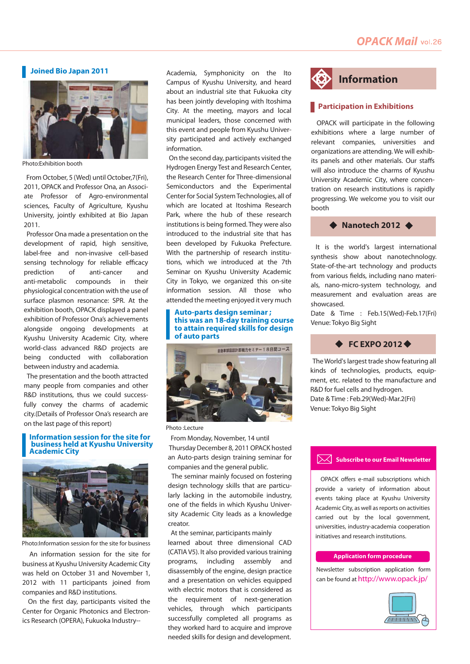#### **Joined Bio Japan 2011**



Photo:Exhibition booth

 From October, 5 (Wed) until October,7(Fri), 2011, OPACK and Professor Ona, an Associate Professor of Agro-environmental sciences, Faculty of Agriculture, Kyushu University, jointly exhibited at Bio Japan 2011.

 Professor Ona made a presentation on the development of rapid, high sensitive, label-free and non-invasive cell-based sensing technology for reliable efficacy prediction of anti-cancer and anti-metabolic compounds in their physiological concentration with the use of surface plasmon resonance: SPR. At the exhibition booth, OPACK displayed a panel exhibition of Professor Ona's achievements alongside ongoing developments at Kyushu University Academic City, where world-class advanced R&D projects are being conducted with collaboration between industry and academia.

 The presentation and the booth attracted many people from companies and other R&D institutions, thus we could successfully convey the charms of academic city.(Details of Professor Ona's research are on the last page of this report)

#### **Information session for the site for business held at Kyushu University Academic City**



#### Photo:Information session for the site for business

 An information session for the site for business at Kyushu University Academic City was held on October 31 and November 1, 2012 with 11 participants joined from companies and R&D institutions.

 On the first day, participants visited the Center for Organic Photonics and Electronics Research (OPERA), Fukuoka Industry--

Academia, Symphonicity on the Ito Campus of Kyushu University, and heard about an industrial site that Fukuoka city has been jointly developing with Itoshima City. At the meeting, mayors and local municipal leaders, those concerned with this event and people from Kyushu University participated and actively exchanged information.

 On the second day, participants visited the Hydrogen Energy Test and Research Center, the Research Center for Three-dimensional Semiconductors and the Experimental Center for Social System Technologies, all of which are located at Itoshima Research Park, where the hub of these research institutions is being formed. They were also introduced to the industrial site that has been developed by Fukuoka Prefecture. With the partnership of research institutions, which we introduced at the 7th Seminar on Kyushu University Academic City in Tokyo, we organized this on-site information session. All those who attended the meeting enjoyed it very much

#### **Auto-parts design seminar ; this was an 18-day training course to attain required skills for design of auto parts**



Photo :Lecture

 From Monday, November, 14 until Thursday December 8, 2011 OPACK hosted an Auto-parts design training seminar for companies and the general public.

 The seminar mainly focused on fostering design technology skills that are particularly lacking in the automobile industry, one of the fields in which Kyushu University Academic City leads as a knowledge creator.

 At the seminar, participants mainly learned about three dimensional CAD (CATIA V5). It also provided various training programs, including assembly and disassembly of the engine, design practice and a presentation on vehicles equipped with electric motors that is considered as the requirement of next-generation vehicles, through which participants successfully completed all programs as they worked hard to acquire and improve needed skills for design and development.



#### **Participation in Exhibitions**

 OPACK will participate in the following exhibitions where a large number of relevant companies, universities and organizations are attending. We will exhibits panels and other materials. Our staffs will also introduce the charms of Kyushu University Academic City, where concentration on research institutions is rapidly progressing. We welcome you to visit our booth

 $\blacklozenge$  Nanotech 2012  $\blacklozenge$ 

 It is the world's largest international synthesis show about nanotechnology. State-of-the-art technology and products from various fields, including nano materials, nano-micro-system technology, and measurement and evaluation areas are showcased.

Date & Time : Feb.15(Wed)-Feb.17(Fri) Venue: Tokyo Big Sight

#### ◆ FC EXPO 2012 ◆

 The World's largest trade show featuring all kinds of technologies, products, equipment, etc. related to the manufacture and R&D for fuel cells and hydrogen. Date & Time : Feb.29(Wed)-Mar.2(Fri) Venue: Tokyo Big Sight

#### **Subscribe to our Email Newsletter**

 OPACK offers e-mail subscriptions which provide a variety of information about events taking place at Kyushu University Academic City, as well as reports on activities carried out by the local government, universities, industry-academia cooperation initiatives and research institutions.

#### **Application form procedure**

Newsletter subscription application form can be found at http://www.opack.jp/

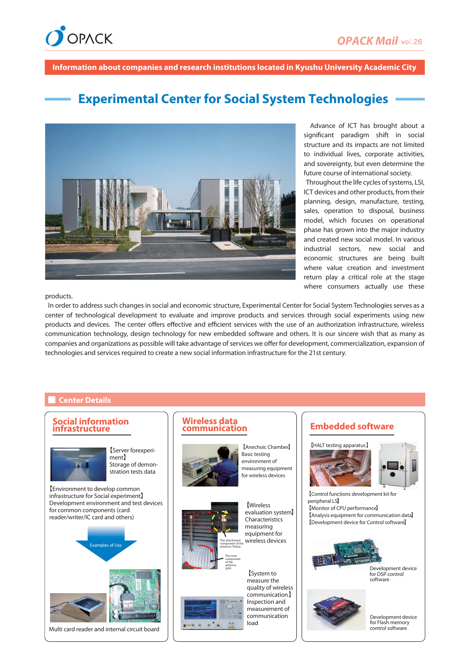

**Information about companies and research institutions located in Kyushu University Academic City**

# **Experimental Center for Social System Technologies**



 Advance of ICT has brought about a significant paradigm shift in social structure and its impacts are not limited to individual lives, corporate activities, and sovereignty, but even determine the future course of international society.

 Throughout the life cycles of systems, LSI, ICT devices and other products, from their planning, design, manufacture, testing, sales, operation to disposal, business model, which focuses on operational phase has grown into the major industry and created new social model. In various industrial sectors, new social and economic structures are being built where value creation and investment return play a critical role at the stage where consumers actually use these

products.

 In order to address such changes in social and economic structure, Experimental Center for Social System Technologies serves as a center of technological development to evaluate and improve products and services through social experiments using new products and devices. The center offers effective and efficient services with the use of an authorization infrastructure, wireless communication technology, design technology for new embedded software and others. It is our sincere wish that as many as companies and organizations as possible will take advantage of services we offer for development, commercialization, expansion of technologies and services required to create a new social information infrastructure for the 21st century.

#### **Center Details**

#### **Social information infrastructure**



【Server forexperiment】 Storage of demonstration tests data

【Environment to develop common infrastructure for Social experiment】 Development environment and test devices for common components (card reader/writer/IC card and others)



Multi card reader and internal circuit board

# **Wireless data**



Basic testing environment of measuring equipment for wireless devices

【Anechoic Chamber】



(phi)

**Wireless** evaluation system】 Characteristics measuring

equipment for wireless devices



#### **Embedded software**





【Control functions development kit for peripheral LSI 【Monitor of CPU performance 】 【Analysis equipment for communication data 】 【Development device for Control software 】



Development device for DSP control software



velopment device for Flash memory control software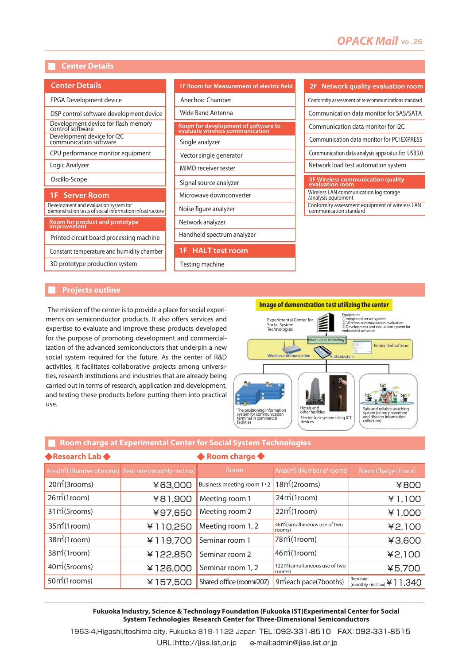## **OPACK Mail** vol.26

#### **Center Details**

| <b>Center Details</b>                                                                             |
|---------------------------------------------------------------------------------------------------|
| FPGA Development device                                                                           |
| DSP control software development device                                                           |
| Development device for flash memory<br>control software                                           |
| Development device for I2C<br>communication software                                              |
| CPU performance monitor equipment                                                                 |
| Logic Analyzer                                                                                    |
| Oscillo-Scope                                                                                     |
| <b>1F</b> Server Room                                                                             |
| Development and evaluation system for<br>demonstration tests of social information infrastructure |
| <b>Room for product and prototype</b><br>improvement                                              |
| Printed circuit board processing machine                                                          |
| Constant temperature and humidity chamber                                                         |
| 3D prototype production system                                                                    |

| <b>1F Room for Measurement of electric field</b>                       |
|------------------------------------------------------------------------|
| Anechoic Chamber                                                       |
| Wide Band Antenna                                                      |
| Room for development of software to<br>evaluate wireless communication |
| Single analyzer                                                        |
| Vector single generator                                                |
| MIMO receiver tester                                                   |
| Signal source analyzer                                                 |
| Microwave downconverter                                                |
| Noise figure analyzer                                                  |
| Network analyzer                                                       |
| Handheld spectrum analyzer                                             |
| <b>HALT</b> test room                                                  |

Testing machine

| Conformity assessment of telecommunications standard          |
|---------------------------------------------------------------|
| Communication data monitor for SAS/SATA                       |
| Communication data monitor for I2C                            |
| Communication data monitor for PCI EXPRESS                    |
| Communication data analysis apparatus for USB3.0              |
| Network load test automation system                           |
| 3F Wireless communication quality<br>evaluation room          |
| Wireless LAN communication log storage<br>/analysis equipment |

Conformity assessment equipment of wireless LAN communication standard

**2F Network quality evaluation room**

#### **Projects outline**

 The mission of the center is to provide a place for social experiments on semiconductor products. It also offers services and expertise to evaluate and improve these products developed for the purpose of promoting development and commercialization of the advanced semiconductors that underpin a new social system required for the future. As the center of R&D activities, it facilitates collaborative projects among universities, research institutions and industries that are already being carried out in terms of research, application and development, and testing these products before putting them into practical use.

### **Image of demonstration test utilizing the center**



#### **Room charge at Experimental Center for Social System Technologies**

| ◆ Research Lab ◆          |                                                                        | ◆ Room charge ◆            |                                                     |                                                     |
|---------------------------|------------------------------------------------------------------------|----------------------------|-----------------------------------------------------|-----------------------------------------------------|
|                           | Area(m <sup>2</sup> ) (Number of rooms) Rent rate (monthly · incl.tax) | Room                       | Area(m <sup>2</sup> ) (Number of rooms)             | Room Charge (1hour)                                 |
| 20m <sup>2</sup> (3rooms) | ¥63,000                                                                | Business meeting room 1 .2 | $18m$ (2rooms)                                      | ¥800                                                |
| 26 <sup>m</sup> (1room)   | ¥81,900                                                                | Meeting room 1             | 24 <sup>m</sup> (1room)                             | ¥1,100                                              |
| $31m$ (5rooms)            | ¥97,650                                                                | Meeting room 2             | 22 <sup>m</sup> (1room)                             | ¥1,000                                              |
| 35 <sup>m</sup> (1room)   | ¥110,250                                                               | Meeting room 1, 2          | 46m <sup>2</sup> (simultaneous use of two<br>rooms) | ¥2,100                                              |
| 38m <sup>2</sup> (1room)  | ¥119,700                                                               | Seminar room 1             | 78 <sup>m</sup> (1room)                             | ¥3,600                                              |
| 38m <sup>2</sup> (1room)  | ¥122,850                                                               | Seminar room 2             | $46m$ (1room)                                       | 42,100                                              |
| 40m <sup>2</sup> (5rooms) | ¥126,000                                                               | Seminar room 1, 2          | 122m (simultaneous use of two<br>rooms)             | ¥5,700                                              |
| $50m$ (1rooms)            | ¥157,500                                                               | Shared office (room#207)   | 9 m <sup>2</sup> each pace (7 booths)               | Rent rate:<br>¥11,340<br>$(monthly \cdot incl.txt)$ |

#### **Fukuoka Industry, Science & Technology Foundation (Fukuoka IST)Experimental Center for Social System Technologies Research Center for Three-Dimensional Semiconductors**